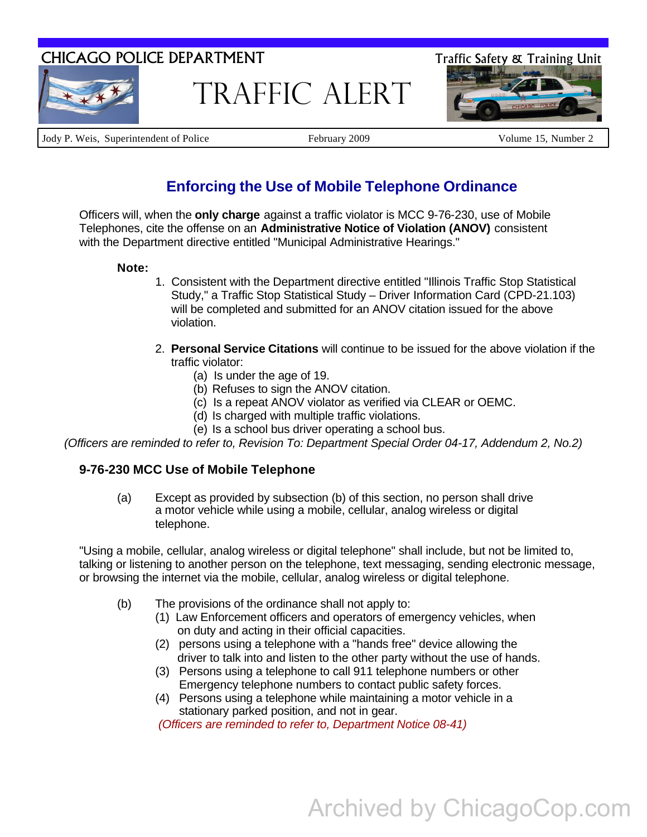# CHICAGO POLICE DEPARTMENT Traffic Safety & Training Unit



Traffic Alert



Jody P. Weis, Superintendent of Police February 2009 Volume 15, Number 2

## **Enforcing the Use of Mobile Telephone Ordinance**

Officers will, when the **only charge** against a traffic violator is MCC 9-76-230, use of Mobile Telephones, cite the offense on an **Administrative Notice of Violation (ANOV)** consistent with the Department directive entitled "Municipal Administrative Hearings."

#### **Note:**

- 1. Consistent with the Department directive entitled "Illinois Traffic Stop Statistical Study," a Traffic Stop Statistical Study – Driver Information Card (CPD-21.103) will be completed and submitted for an ANOV citation issued for the above violation.
- 2. **Personal Service Citations** will continue to be issued for the above violation if the traffic violator:
	- (a) Is under the age of 19.
	- (b) Refuses to sign the ANOV citation.
	- (c) Is a repeat ANOV violator as verified via CLEAR or OEMC.
	- (d) Is charged with multiple traffic violations.
	- (e) Is a school bus driver operating a school bus.

*(Officers are reminded to refer to, Revision To: Department Special Order 04-17, Addendum 2, No.2)*

### **9-76-230 MCC Use of Mobile Telephone**

(a) Except as provided by subsection (b) of this section, no person shall drive a motor vehicle while using a mobile, cellular, analog wireless or digital telephone.

"Using a mobile, cellular, analog wireless or digital telephone" shall include, but not be limited to, talking or listening to another person on the telephone, text messaging, sending electronic message, or browsing the internet via the mobile, cellular, analog wireless or digital telephone.

- (b) The provisions of the ordinance shall not apply to:
	- (1) Law Enforcement officers and operators of emergency vehicles, when on duty and acting in their official capacities.
	- (2) persons using a telephone with a "hands free" device allowing the driver to talk into and listen to the other party without the use of hands.
	- (3) Persons using a telephone to call 911 telephone numbers or other Emergency telephone numbers to contact public safety forces.
	- (4) Persons using a telephone while maintaining a motor vehicle in a stationary parked position, and not in gear.

*(Officers are reminded to refer to, Department Notice 08-41)*

# Archived by ChicagoCop.com